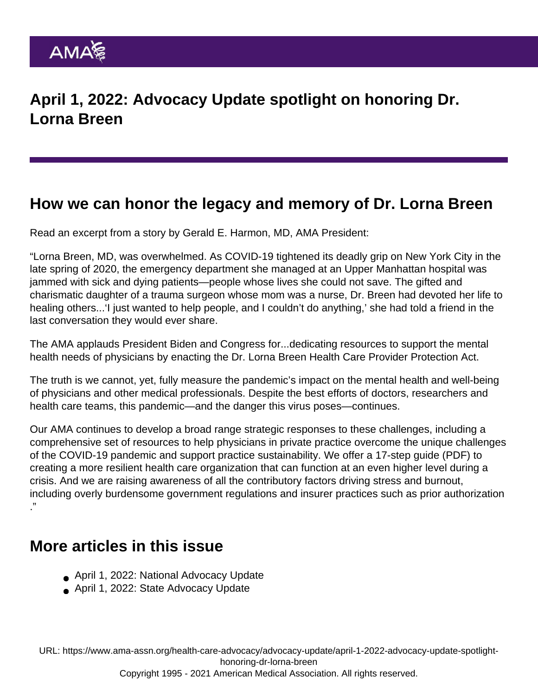## How we can honor the legacy and memory of Dr. Lorna Breen

Read an excerpt from a [story](https://www.ama-assn.org/practice-management/physician-health/how-we-can-honor-legacy-and-memory-dr-lorna-breen) by Gerald E. Harmon, MD, AMA President:

"Lorna Breen, MD, was overwhelmed. As COVID-19 tightened its deadly grip on New York City in the late spring of 2020, the emergency department she managed at an Upper Manhattan hospital was jammed with sick and dying patients—people whose lives she could not save. The gifted and charismatic daughter of a trauma surgeon whose mom was a nurse, Dr. Breen had devoted her life to healing others...'I just wanted to help people, and I couldn't do anything,' she had told a friend in the last conversation they would ever share.

The AMA applauds President Biden and Congress for...dedicating resources to support the mental health needs of physicians by enacting the [Dr. Lorna Breen Health Care Provider Protection Act](https://www.congress.gov/bill/117th-congress/house-bill/1667).

The truth is we cannot, yet, fully measure the pandemic's impact on the mental health and well-being of physicians and other medical professionals. Despite the best efforts of doctors, researchers and health care teams, this pandemic—and the danger this virus poses—continues.

Our AMA continues to develop a broad range strategic responses to these challenges, including a [comprehensive set of resources](https://www.ama-assn.org/practice-management/private-practices/ama-private-practice-sustainability) to help physicians in private practice overcome the unique challenges of the COVID-19 pandemic and support practice sustainability. We offer [a 17-step guide](https://www.ama-assn.org/system/files/2020-05/caring-for-health-care-workers-covid-19.pdf) (PDF) to creating a more resilient health care organization that can function at an even higher level during a crisis. And we are raising awareness of all the contributory factors driving stress and burnout, including overly [burdensome government regulations](https://www.ama-assn.org/health-care-advocacy/administrative-burdens) and insurer practices such as [prior authorization](https://www.ama-assn.org/practice-management/sustainability/prior-authorization-reform-resources) ."

## More articles in this issue

- [April 1, 2022: National Advocacy Update](https://www.ama-assn.org/health-care-advocacy/advocacy-update/april-1-2022-national-advocacy-update)
- [April 1, 2022: State Advocacy Update](https://www.ama-assn.org/health-care-advocacy/advocacy-update/april-1-2022-state-advocacy-update)

URL: [https://www.ama-assn.org/health-care-advocacy/advocacy-update/april-1-2022-advocacy-update-spotlight](https://www.ama-assn.org/health-care-advocacy/advocacy-update/april-1-2022-advocacy-update-spotlight-honoring-dr-lorna-breen)[honoring-dr-lorna-breen](https://www.ama-assn.org/health-care-advocacy/advocacy-update/april-1-2022-advocacy-update-spotlight-honoring-dr-lorna-breen)